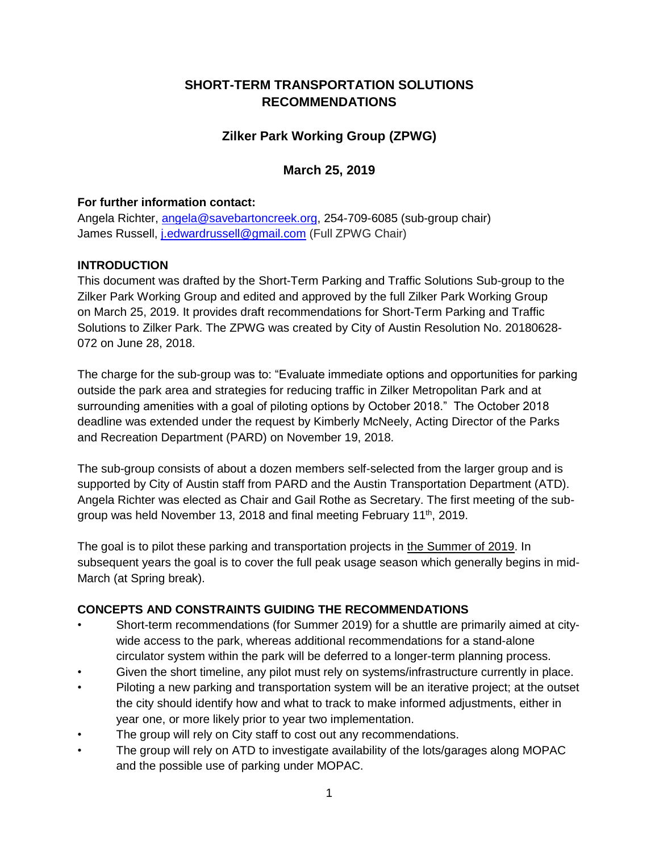# **SHORT-TERM TRANSPORTATION SOLUTIONS RECOMMENDATIONS**

## **Zilker Park Working Group (ZPWG)**

### **March 25, 2019**

#### **For further information contact:**

Angela Richter, [angela@savebartoncreek.org,](mailto:angela@savebartoncreek.org) 254-709-6085 (sub-group chair) James Russell, [j.edwardrussell@gmail.com](mailto:j.edwardrussell@gmail.com) (Full ZPWG Chair)

#### **INTRODUCTION**

This document was drafted by the Short-Term Parking and Traffic Solutions Sub-group to the Zilker Park Working Group and edited and approved by the full Zilker Park Working Group on March 25, 2019. It provides draft recommendations for Short-Term Parking and Traffic Solutions to Zilker Park. The ZPWG was created by City of Austin Resolution No. 20180628- 072 on June 28, 2018.

The charge for the sub-group was to: "Evaluate immediate options and opportunities for parking outside the park area and strategies for reducing traffic in Zilker Metropolitan Park and at surrounding amenities with a goal of piloting options by October 2018." The October 2018 deadline was extended under the request by Kimberly McNeely, Acting Director of the Parks and Recreation Department (PARD) on November 19, 2018.

The sub-group consists of about a dozen members self-selected from the larger group and is supported by City of Austin staff from PARD and the Austin Transportation Department (ATD). Angela Richter was elected as Chair and Gail Rothe as Secretary. The first meeting of the subgroup was held November 13, 2018 and final meeting February 11<sup>th</sup>, 2019.

The goal is to pilot these parking and transportation projects in the Summer of 2019. In subsequent years the goal is to cover the full peak usage season which generally begins in mid-March (at Spring break).

#### **CONCEPTS AND CONSTRAINTS GUIDING THE RECOMMENDATIONS**

- Short-term recommendations (for Summer 2019) for a shuttle are primarily aimed at citywide access to the park, whereas additional recommendations for a stand-alone circulator system within the park will be deferred to a longer-term planning process.
- Given the short timeline, any pilot must rely on systems/infrastructure currently in place.
- Piloting a new parking and transportation system will be an iterative project; at the outset the city should identify how and what to track to make informed adjustments, either in year one, or more likely prior to year two implementation.
- The group will rely on City staff to cost out any recommendations.
- The group will rely on ATD to investigate availability of the lots/garages along MOPAC and the possible use of parking under MOPAC.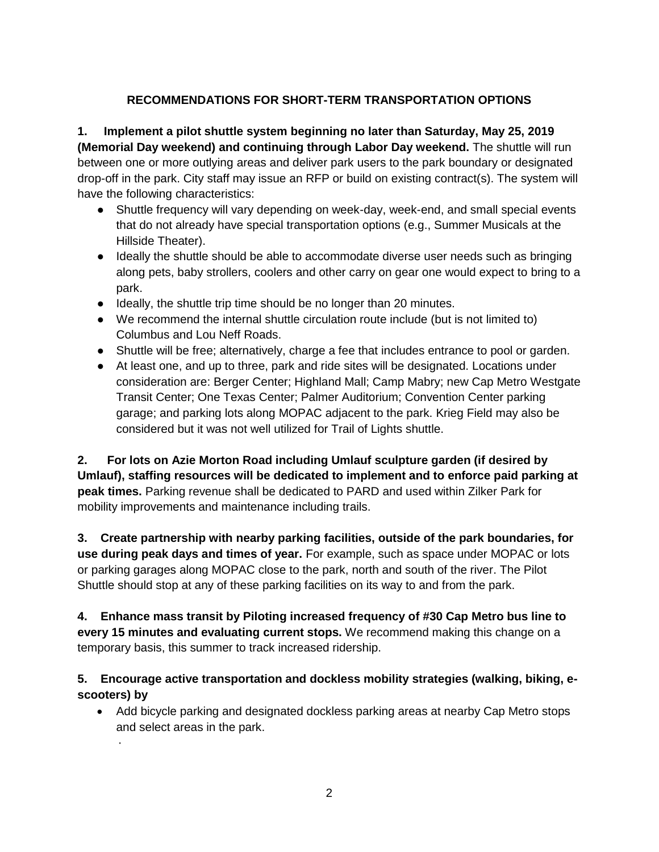## **RECOMMENDATIONS FOR SHORT-TERM TRANSPORTATION OPTIONS**

**1. Implement a pilot shuttle system beginning no later than Saturday, May 25, 2019 (Memorial Day weekend) and continuing through Labor Day weekend.** The shuttle will run between one or more outlying areas and deliver park users to the park boundary or designated drop-off in the park. City staff may issue an RFP or build on existing contract(s). The system will have the following characteristics:

- Shuttle frequency will vary depending on week-day, week-end, and small special events that do not already have special transportation options (e.g., Summer Musicals at the Hillside Theater).
- Ideally the shuttle should be able to accommodate diverse user needs such as bringing along pets, baby strollers, coolers and other carry on gear one would expect to bring to a park.
- Ideally, the shuttle trip time should be no longer than 20 minutes.
- We recommend the internal shuttle circulation route include (but is not limited to) Columbus and Lou Neff Roads.
- Shuttle will be free; alternatively, charge a fee that includes entrance to pool or garden.
- At least one, and up to three, park and ride sites will be designated. Locations under consideration are: Berger Center; Highland Mall; Camp Mabry; new Cap Metro Westgate Transit Center; One Texas Center; Palmer Auditorium; Convention Center parking garage; and parking lots along MOPAC adjacent to the park. Krieg Field may also be considered but it was not well utilized for Trail of Lights shuttle.

**2. For lots on Azie Morton Road including Umlauf sculpture garden (if desired by Umlauf), staffing resources will be dedicated to implement and to enforce paid parking at peak times.** Parking revenue shall be dedicated to PARD and used within Zilker Park for mobility improvements and maintenance including trails.

**3. Create partnership with nearby parking facilities, outside of the park boundaries, for use during peak days and times of year.** For example, such as space under MOPAC or lots or parking garages along MOPAC close to the park, north and south of the river. The Pilot Shuttle should stop at any of these parking facilities on its way to and from the park.

**4. Enhance mass transit by Piloting increased frequency of #30 Cap Metro bus line to every 15 minutes and evaluating current stops.** We recommend making this change on a temporary basis, this summer to track increased ridership.

## **5. Encourage active transportation and dockless mobility strategies (walking, biking, escooters) by**

• Add bicycle parking and designated dockless parking areas at nearby Cap Metro stops and select areas in the park.

·